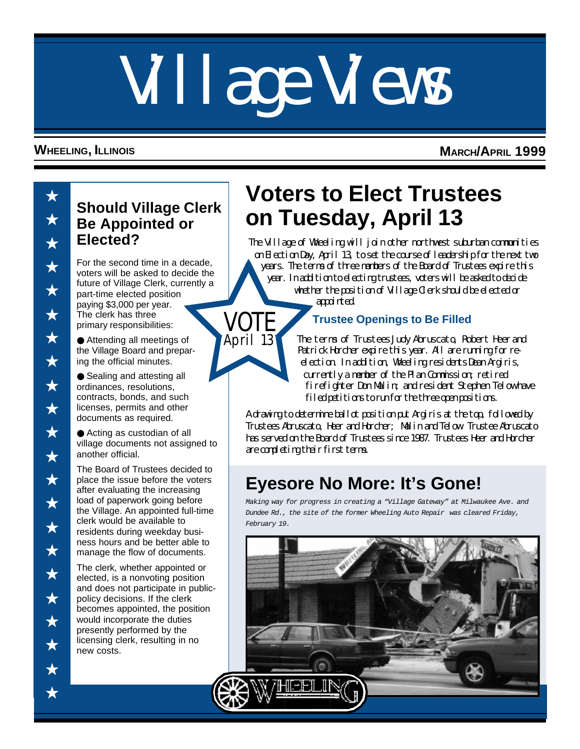# Village Views

VOTE April 13

#### **WHEELING, ILLINOIS MARCH/APRIL 1999**

# **Be Appointed or Elected?**

For the second time in a decade, voters will be asked to decide the future of Village Clerk, currently a part-time elected position paying \$3,000 per year. The clerk has three primary responsibilities:

● Attending all meetings of the Village Board and preparing the official minutes.

● Sealing and attesting all ordinances, resolutions, contracts, bonds, and such licenses, permits and other documents as required.

● Acting as custodian of all village documents not assigned to another official.

The Board of Trustees decided to place the issue before the voters after evaluating the increasing load of paperwork going before the Village. An appointed full-time clerk would be available to residents during weekday business hours and be better able to manage the flow of documents.

The clerk, whether appointed or elected, is a nonvoting position and does not participate in publicpolicy decisions. If the clerk becomes appointed, the position would incorporate the duties presently performed by the licensing clerk, resulting in no new costs.

# **Voters to Elect Trustees on Tuesday, April 13 Should Village Clerk**

The Village of Wheeling will join other northwest suburban communities on Election Day, April 13, to set the course of leadership for the next two years. The terms of three members of the Board of Trustees expire this year. In addition to electing trustees, voters will be asked to decide whether the position of Village Clerk should be elected or

appointed.

#### **Trustee Openings to Be Filled**

The terms of Trustees Judy Abruscato, Robert Heer and Patrick Horcher expire this year. All are running for reelection. In addition, Wheeling residents Dean Argiris, currently a member of the Plan Commission; retired firefighter Don Malin; and resident Stephen Telow have filed petitions to run for the three open positions.

A drawing to determine ballot position put Argiris at the top, followed by Trustees Abruscato, Heer and Horcher; Malin and Telow. Trustee Abruscato has served on the Board of Trustees since 1987. Trustees Heer and Horcher are completing their first terms.

### **Eyesore No More: It's Gone!**

*Making way for progress in creating a "Village Gateway" at Milwaukee Ave. and Dundee Rd., the site of the former Wheeling Auto Repair was cleared Friday, February 19.*

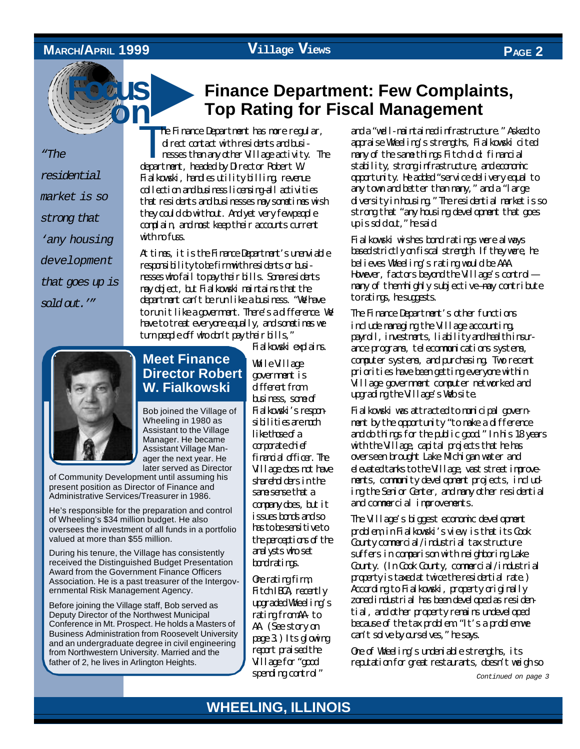#### **MARCH/APRIL 1999**

**Focus**

#### **Village Views PAGE 2**

*"The residential market is so strong that 'any housing development that goes up is sold out.'"*

#### ▲ **Finance Department: Few Complaints, Top Rating for Fiscal Management**

**on** T. he Finance Department has more regular, direct contact with residents and businesses than any other Village activity. The department, headed by Director Robert W. Fialkowski, handles utility billing, revenue collection and business licensing-all activities that residents and businesses may sometimes wish they could do without. And yet very few people complain, and most keep their accounts current with meetings.

> At times, it is the Finance Department's unenviable responsibility to be firm with residents or businesses who fail to pay their bills. Some residents may object, but Fialkowski maintains that the department can't be run like a business. "We have to run it like a government. There's a difference. We have to treat everyone equally, and sometimes we turn people of f who don't pay their bills,"

Fialkowski explains.

While Village government is different from business, some of Fialkowski's responsibilities are much like those of a comporate chief financial officer. The Village does not have shareholders in the same sense that a company does, but it issues bonds and so has to be sensitive to the perceptions of the analysts who set bond ratings.

One rating firm, Fitch IBCA, recently upgraded Wheeling's rating from A to AA. (See story on page 3.) Its glowing report praised the Village for "good spending control"

and a "well-maintained infrastructure." Asked to appraise Wheeling's strengths, Fialkowski cited many of the same things Fitch did: financial stability, strong infrastructure, and economic opportunity. He added "service delivery equal to any town and better than many," and a "large diversity in housing." The residential market is so strong that "any housing development that goes up is sold at," he said.

Fialkowski wishes bond ratings were always based strictly on fiscal strength. If they were, he believes Wheeling's rating would be AAA. However, factors beyond the Village's control many of them highly subjective—may contribute to ratings, he suggests.

The Finance Department's other functions include managing the Village accounting, payroll, investments, liability and health insurance programs, telecommunications systems, computer systems, and purchasing. Two recent priorities have been getting everyone within Village government computer networked and upgrading the Village's Web site.

Fialkowski was attracted to municipal government by the opportunity "to make a difference and do things for the public good." In his 18 years with the Village, capital projects that he has overseen brought Lake Michigan water and elevated tanks to the Village, vast street improvements, community development projects, including the Senior Center, and many other residential and commercial improvements.

The Village's biggest economic development problem, in Fialkowski's view, is that its Cook County connercial/industrial tax structure suffers in comparison with neighboring Lake County. (In Cook County, commercial/industrial property is taxed at twice the residential rate.) According to Fialkowski, property originally zoned industrial has been developed as residential, and other property remains undeveloped because of the tax problem. "It's a problem we can't solve by ourselves," he says.

One of Wheeling's undeniable strengths, its reputation for great restaurants, doesn't weigh so

*Continued on page 3*



#### **Meet Finance Director Robert W. Fialkowski**

Bob joined the Village of Wheeling in 1980 as Assistant to the Village Manager. He became Assistant Village Manager the next year. He later served as Director

of Community Development until assuming his present position as Director of Finance and Administrative Services/Treasurer in 1986.

He's responsible for the preparation and control of Wheeling's \$34 million budget. He also oversees the investment of all funds in a portfolio valued at more than \$55 million.

During his tenure, the Village has consistently received the Distinguished Budget Presentation Award from the Government Finance Officers Association. He is a past treasurer of the Intergovernmental Risk Management Agency.

Before joining the Village staff, Bob served as Deputy Director of the Northwest Municipal Conference in Mt. Prospect. He holds a Masters of Business Administration from Roosevelt University and an undergraduate degree in civil engineering from Northwestern University. Married and the father of 2, he lives in Arlington Heights.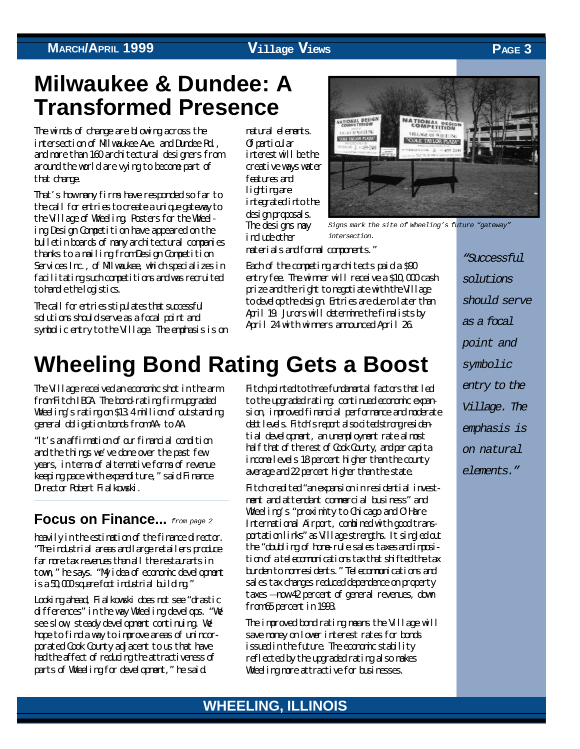### **Milwaukee & Dundee: A Transformed Presence**

The winds of change are blowing across the intersection of Milwaukee Ave. and Dundee Rd., and more than 160 architectural designers from around the world are vying to become part of that change.

That's how many firms have responded so far to the call for entries to create a unique gateway to the Village of Wheeling. Posters for the Wheeling Design Competition have appeared on the bulletin boards of many architectural companies thanks to a mailing from Design Competition Services Inc., of Milwaukee, which specializes in facilitating such competitions and was recruited to handle the logistics.

The call for entries stipulates that successful solutions should serve as a focal point and symbolic entry to the Village. The emphasis is on natural elements. Of particular interest will be the creative ways water features and lighting are integrated into the design proposals. The designs may indurkather

entry fee. The winner will receive a \$10,000 cash prize and the right to negotiate with the Village



*Signs mark the site of Wheeling's future "gateway" intersection.*

materials and formal components."

Each of the competing architects paid a \$90 to develop the design. Entries are due no later than April 19. Jurors will determine the finalists by April 24 with winners announced April 26.

*"Successful solutions should serve as a focal point and symbolic entry to the Village. The emphasis is on natural elements."*

### **Wheeling Bond Rating Gets a Boost**

The Village received an economic shot in the arm from Fitch IBCA. The bond-rating firm upgraded Wheeling's rating on \$13.4 million of outstanding general obligation bonds from AA- to AA.

"It's an affirmation of our financial condition and the things we've done over the past few years, in terms of alternative forms of revenue keeping pace with expenditure," said Finance Director Robert Fialkowski.

#### **Focus on Finance...** *from page 2*

heavily in the estimation of the finance director. "The industrial areas and large retailers produce far more tax revenues than all the restaurants in town," he says. "My idea of economic development  $i$ s a 50,000 square foot industrial building."

Looking ahead, Fialkowski does not see "drastic differences" in the way Wheeling develops. "We see slow, steady development continuing. We hope to find a way to improve areas of unincorporated Cook County adjacent to us that have had the affect of reducing the attractiveness of parts of Wheeling for development," he said.

Fitch pointed to three fundamental factors that led to the upgraded rating: continued economic expansion, improved financial performance and moderate debt levels. Fitch's report also cited strong residential development, an unemployment rate almost half that of the rest of Cook County, and per capita income levels 18 percent higher than the county average and 22 percent higher than the state.

Fitch credited "an expansion in residential investment and attendant commercial business" and Wheeling's "proximity to Chicago and O'Hare International Airport, combined with good transportation links" as Village strengths. It singled out the "doubling of home-rule sales taxes and imposition of a telecommunications tax that shifted the tax burden to nonresidents." Telecommunications and sales tax changes reduced dependence on property taxes — now 42 percent of general revenues, down from 65 percent in 1993.

The improved bond rating means the Village will save money on lower interest rates for bonds issued in the future. The economic stability reflected by the upgraded rating also makes Wheeling more attractive for businesses.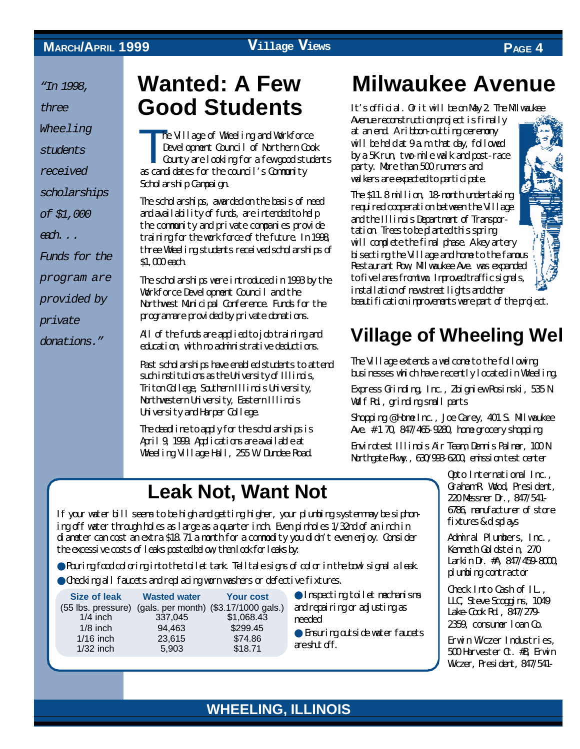*"In 1998,*

*three*

*Wheeling*

*students*

*received*

*scholarships*

*of \$1,000*

*each. . .*

*Funds for the*

*program are*

*provided by*

*private*

*donations."*

### **Wanted: A Few Good Students**

T<sub>p</sub> he Village of Wheeling and Workforce Development Council of Northern Cook County are looking for a few good students as candidates for the council's Community Scholarship Campaign.

The scholarships, awarded on the basis of need and availability of funds, are intended to help the community and private companies provide training for the work force of the future. In 1998, three Wheeling students received scholarships of \$1,000 each.

The scholarships were introduced in 1993 by the Workforce Development Council and the Northwest Municipal Conference. Funds for the program are provided by private donations.

All of the funds are applied to job training and education, with no administrative deductions.

Past scholarships have enabled students to attend such institutions as the University of Illimity Triton College, Southern Illinois University, Northwestern University, Eastern Illinois University and Harper College.

The deadline to apply for the scholarships is April 9, 1999. Applications are available at Wheeling Village Hall, 255 W. Dundee Road.

## **Leak Not, Want Not**

If your water bill seems to be high and getting higher, your plumbing system may be siphoning off water through holes as large as a quarter inch. Even pinholes 1/32nd of an inch in diameter can cost an extra \$18.71 a month for a commodity you didn't even enjoy. Consider the excessive costs of leaks posted below, then look for leaks by:

● Pouring food coloring into the toilet tank. Telltale signs of color in the bowl signal a leak. ● Checking all faucets and replacing worn washers or defective fixtures.

| <b>Size of leak</b> | <b>Wasted water</b> | <b>Your cost</b>                                         |
|---------------------|---------------------|----------------------------------------------------------|
|                     |                     | (55 lbs. pressure) (gals. per month) (\$3.17/1000 gals.) |
| $1/4$ inch          | 337,045             | \$1,068.43                                               |
| $1/8$ inch          | 94,463              | \$299.45                                                 |
| $1/16$ inch         | 23,615              | \$74.86                                                  |
| $1/32$ inch         | 5,903               | \$18.71                                                  |

● Inspecting toilet mechanisms and repairing or adjusting as needed

● **Financial particle** water fauncets are shut off.

# **Milwaukee Avenue**

It's official. Or it will be on May 2. The Mlwaukee

Avenue reconstruction project is finally at an end. A ribbon-cutting ceremony will be held at 9 a.m. that day, followed by a 5K run, two-mile walk and post-race party. More than 500 runners and walkers are expected to participate.

The \$11.8 million, 18-month undertaking required cooperation between the Village and the Illinois Department of Transportation. Trees to be planted this spring will complete the final phase. A key artery bisecting the Village and home to the famous Restaurant Row, Milwaukee Ave. was expanded to five lanes from two. Improved traffic signals, installation of new street lights and other beautification improvements were part of the project.

### **Village of Wheeling Wel**

The Village extends a welcome to the following businesses which have recently located in Wheeling.

Express Grinding, Inc., Zbigniew Rosinski, 535 N. Wolf Rd., grinding small parts

Shopping @ Home Inc., Joe Carey, 401 S. Milwaukee Ave. # 1 70, 847/465-9280, home grocery shopping

Envirotest Illinois Air Team, Dennis Palmer, 100 N. Northgate Pkwy., 630/993-6200, emission test center

> Opto International Inc., Graham R. Wood, President, 220 Messner Dr., 847/541- 6786, manufacturer of store fixtures &-displays

Admiral Plumbers, Inc., Kenneth Goldstein, 270 Larkin Dr. #A, 847/459-8000, plumbing contractor

Check Into Cash of IL., LLC, Steve Scoggins, 1049 Lake-Cook Rd., 847/279- 2359, consumer loan Co.

Erwin Wiczer Industries, 500 Harvester Ct. #B, Erwin Wiczer, President, 847/541-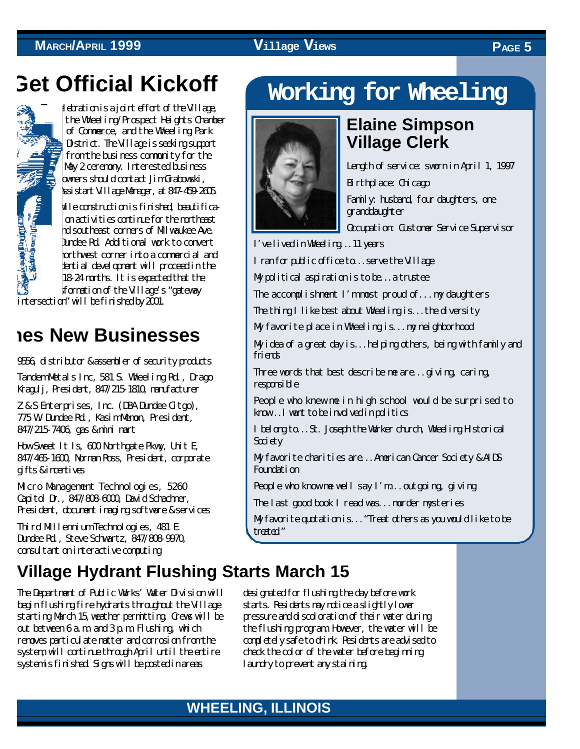### **MARCH**<sup>/APRIL</sup> 1999 **Village Views PAGE**<sub>5</sub>

## **Get Official Kickoff**



Iduation is a joint effort of the Village, the Wheeling/Prospect Heights Chamber of Commerce, and the Wheeling Park District. The Village is seeking support from the business community for the May 2 ceremony. Interested business owners should contact Jim Grabowski, Assistant Village Manager, at 847-459-2605.

hile construction is finished, beautification activities continue for the northeast and southeast corners of Milwaukee Ave. and Dundee Rd. Additional work to convert the northwest corner into a commercial and residential development will proceed in the 18-24 nonths. It is expected that the sformation of the Village's "gateway

intersection" will be finished by 2001.

### **mes New Businesses**

9556, distributor & assembler of security products

Tandem Metals Inc, 581 S. Wheeling Rd., Drago Kragulj, President, 847/215-1810, manufacturer

Z & S Enterprises, Inc. (DBA Dundee Citgo), 775 W. Dundee Rd., Kasim Memon, President, 847/215-7406, gas & mini mart

How Sweet It Is, 600 Northgate Pkwy, Unit E, 847/465-1600, Norman Ross, President, corporate gifts & incentives

Micro Management Technologies, 5260 Capitol Dr., 847/808-6000, David Schachner, President, document imaging software & services

Third Millennium Technologies, 481 E. Dundee Rd., Steve Schwartz, 847/808-9970, consultant on interactive computing

### **Village Hydrant Flushing Starts March 15**

The Department of Public Works' Water Division will begin flushing fire hydrants throughout the Village starting March 15,weather permitting. Crews will be out between 6 a.m. and 3 p.m. Flushing, which removes particulate matter and corrosion from the system, will continue through April until the entire systemis finished. Signs will be posted in areas

## **Working for Wheeling**



### **Elaine Simpson Village Clerk**



Length of service: sworn in April 1, 1997 Birthplace: Chicago

Family: husband, four daughters, one granddaughter

Occupation: Customer Service Supervisor

I've lived in Wheeling...11 years

I ran for public office to...serve the Village

My political aspiration is to be...a trustee

The accomplishment I'm most proud of... my daughters

The thing I like best about Wheeling is...the diversity

My favorite place in Wheeling is...my neighborhood

My idea of a great day is...helping others, being with family and friends

Three words that best describe me are...giving, caring, responsible

People who knew me in high school would be surprised to know...I want to be involved in politics

I belong to...St. Joseph the Worker church, Wheeling Historical Society

My favorite charities are...American Cancer Society & AIDS Foundation

People who know me well say I'm...outgoing, giving

The last good book I read was...murder mysteries

My favorite quotation is..."Treat others as you would like to be treated."

designated for flushing the day before work starts. Residents may notice a slightly lower pressure and discoloration of their water during the flushing program. However, the water will be completely safe to drink. Residents are advised to check the color of the water before beginning laundry to prevent any staining.

#### **WHEELING, ILLINOIS WHEELING, ILLINOIS**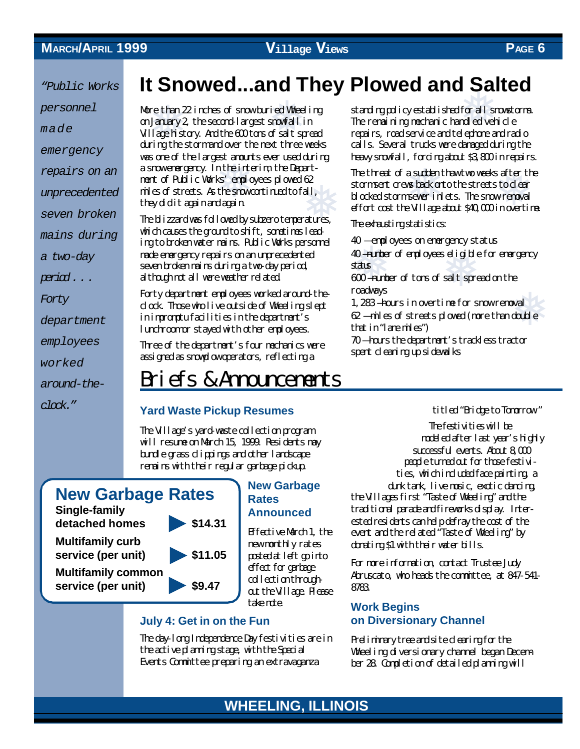*personnel*

*made*

*emergency*

*repairs on an*

*unprecedented*

*seven broken*

*mains during*

*a two-day*

*period . . .*

*Forty*

*department*

*employees*

*worked*

*around-the-*

*clock."*

**EXECUTE:** Fublic Works **It Snowed...and They Plowed and Salted**<br> **EXECUTE:** More than 22 index of snow buried Wheeling standing policy established for all snowtons<br>
on Janzay 2, the second largest snowfall in The remainin

re <mark>than</mark><br>January<br>Ilage his est anounts ever used during heavy snowfall, forcin<br>
In the interim, the Depart-<br>
In threat of a sudder<br>
desonvortimed to fall, blocked stormsever in ❅ More than 22 inches of snow buried Wheeling on January 2, the second-largest snowfall in Village history. And the 600 tons of salt spread during the storm and over the next three weeks was one of the largest amounts ever used during a snow emergency. In the interim, the Department of Public Works' employees plowed 62 miles of streets. As the snow continued to fall, they did it again and again.

The blizzard was followed by subzero temperatures, which causes the ground to shift, sometimes leading to broken water mains. Public Works personnel made emergency repairs on an unprecedented seven broken mains during a two-day period, although not all were weather related.

Forty department employees worked around-theclock. Those who live outside of Wheeling slept in impromptu facilities in the department's lunchroom or stayed with other employees.

Three of the department's four mechanics were assigned as snowplow operators, reflecting a

### Briefs & Announcements

#### **Yard Waste Pickup Resumes**

The Village's yard-waste collection program will resume on March 15, 1999. Residents may bundle grass clippings and other landscape remains with their regular garbage pickup.

### **New Garbage Rates**

**Single-family detached homes \$14.31**

**Multifamily curb service (per unit) \$11.05**

**Multifamily common service (per unit) \$9.47**



**New Garbage Rates Announced**

Effective March 1, the new monthly rates posted at left go into effect for garbage collection throughout the Village. Please take note.

#### **July 4: Get in on the Fun**

The day-long Independence Day festivities are in the active planning stage, with the Special Events Committee preparing an extravaganza

standing policy established for all snowstorms. The remaining mechanic handled vehicle repairs, road service and telephone and radio calls. Several trucks were damaged during the heavy snowfall, forcing about \$3,800 in repairs.

r<br>saftert<br>wremova<br>. The threat of a sudden thaw two weeks after the stormsent crews back onto the streets to clear blocked storm sewer inlets. The snow-removal effort cost the Village about \$40,000 in overtime.

**The exhansting statistics:** 

40 — employees on emergency status

gencys<br>seligibl<br>saltspo ❅ 40 —number of employees eligible for emergency status

600 —number of tons of salt spread on the roadways

oso Tanza of calour sure special of all<br>roadways<br>62 — miles of streets plowed (more than double 1,283 —hours in overtime for snow removal that in "lane miles")

70 — hours the department's trackless tractor spent cleaning up sidewalks

titled "Bridge to Tomorrow."

The festivities will be modeled after last year's highly successful events. About 8,000 people turned out for those festivities, which included face painting, a dunk tank, live music, exotic dancing, the Villages first "Taste of Wheeling" and the traditional parade and fireworks display. Interested residents can help defray the cost of the event and the related "Taste of Wheeling" by donating \$1 with their water bills.

For more information, contact Trustee Judy Abruscato, who heads the committee, at 847-541- 8783.

#### **Work Begins on Diversionary Channel**

Preliminary tree and site clearing for the Wheeling diversionary channel began December 28. Completion of detailed planning will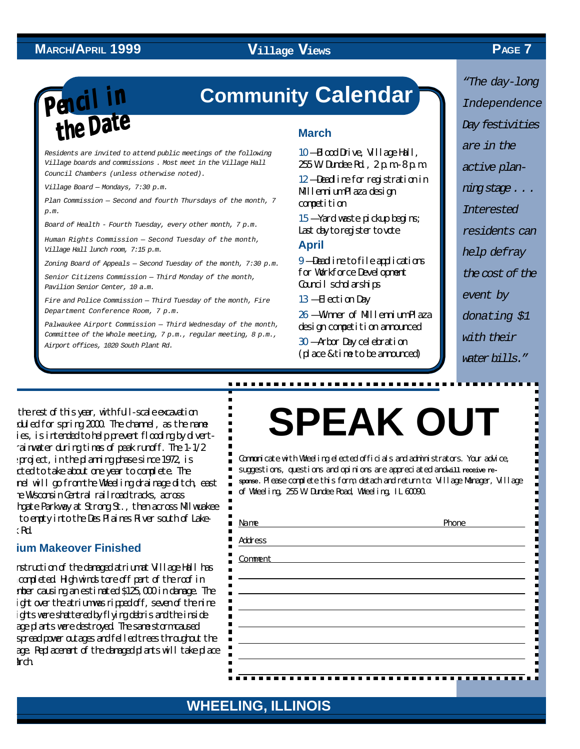# **Pencil in the Date**

### **Community Calendar**

*Residents are invited to attend public meetings of the following Village boards and commissions . Most meet in the Village Hall Council Chambers (unless otherwise noted).*

*Village Board — Mondays, 7:30 p.m.*

*Plan Commission — Second and fourth Thursdays of the month, 7 p.m.*

*Board of Health - Fourth Tuesday, every other month, 7 p.m.*

*Human Rights Commission — Second Tuesday of the month, Village Hall lunch room, 7:15 p.m.*

*Zoning Board of Appeals — Second Tuesday of the month, 7:30 p.m.*

*Senior Citizens Commission — Third Monday of the month, Pavilion Senior Center, 10 a.m.*

*Fire and Police Commission — Third Tuesday of the month, Fire Department Conference Room, 7 p.m.*

*Palwaukee Airport Commission — Third Wednesday of the month, Committee of the Whole meeting, 7 p.m., regular meeting, 8 p.m., Airport offices, 1020 South Plant Rd.*

#### **March**

10 — Blood Drive, Village Hall, 255 W. Dundee Rd., 2 p.m.-8 p.m. 12 — Deadline for registration in Millennium Plaza design competition

15 — Yard waste pickup begins; Last day to register to vote

#### **April**

9 — Deadline to file applications for Workforce Development Council scholarships

13 — Election Day

.............................

26 — Winner of Millennium Plaza design competition announced

30 — Arbor Day celebration (place & time to be announced)

*"The day-long Independence Day festivities are in the active planning stage . . . Interested residents can help defray the cost of the event by donating \$1 with their*

*water bills."*

Н . П П П E, E. d

 $\frac{1}{2}$ 

П O

the rest of this year, with full-scale excavation duled for spring 2000. The channel, as the name  $i$ es, is intended to help prevent flooding by divertrainwater during times of peak runoff. The  $1-1/2$ project, in the planning phase since 1972, is expected to take about one year to complete. The nel will go from the Wheeling drainage ditch, east of the Wisconsin Central railroad tracks, across heate Parkway at Strong St., then across Milwuakee to empty into the Des Plaines River south of Lake- $R_{\rm d}$ 

#### **ium Makeover Finished**

Reconstruction of the damaged atrium at Village Hall has completed. High winds tore off part of the roof in November causing an estimated \$125,000 in damage. The ight over the atrium was ripped off, seven of the nine ights were shattered by flying debris and the inside age plants were destroyed. The same storm caused spread power outages and felled trees throughout the age. Replacement of the damaged plants will take place  $\mathbf{h}$ 

# **SPEAK OUT**

Communicate with Wheeling elected officials and administrators. Your advice, suggestions, questions and opinions are appreciated and will receive re**sponse.** Please complete this form, detach and return to: Village Manager, Village of Wheeling, 255 W. Dundee Road, Wheeling, IL 60090.

| ш<br>l Name                                        | Phone |
|----------------------------------------------------|-------|
| $\overline{\phantom{a}}$ Address<br>$\blacksquare$ |       |
| frac<br>$\blacksquare$<br>$\blacksquare$           |       |
| п<br><b>Contract Contract</b><br>п                 |       |
| п                                                  |       |
| Ш                                                  |       |
| ш<br>ш                                             |       |
| ш                                                  |       |
| ш<br>ш                                             |       |
|                                                    |       |

#### **WHEELING, ILLINOIS WHEELING, ILLINOIS**